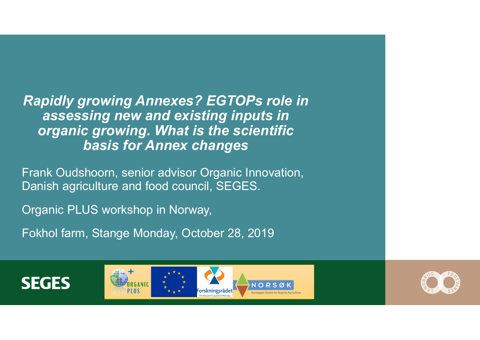Rapidly growing Annexes? EGTOPs role in assessing new and existing inputs in organic growing. What is the scientific basis for Annex changes **Rapidly growing Annexes? EGTOPs role in<br>assessing new and existing inputs in<br>organic growing. What is the scientific<br>basis for Annex changes<br>Frank Oudshoorn, senior advisor Organic Innovation,<br>Danish agriculture and food Rapidly growing Annexes? EGTOPs role in**<br>assessing new and existing inputs in<br>organic growing. What is the scientific<br>basis for Annex changes<br>Frank Oudshoorn, senior advisor Organic Innovation,<br>Danish agriculture and food

Organic PLUS workshop in Norway,

Fokhol farm, Stange Monday, October 28, 2019







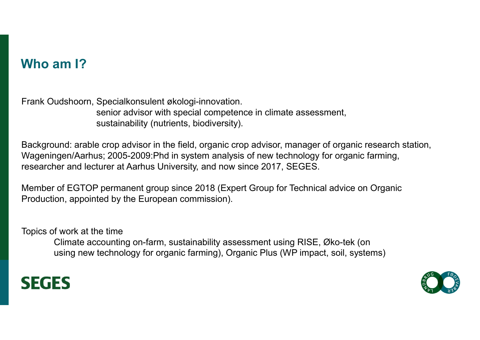# Who am I?

Who am I?<br>Frank Oudshoorn, Specialkonsulent økologi-innovation.<br>senior advisor with special competence in climate assessment,<br>sustainability (nutrients, biodiversity). senior advisor with special competence in climate assessment, sustainability (nutrients, biodiversity).

Background: arable crop advisor in the field, organic crop advisor, manager of organic research station, Wageningen/Aarhus; 2005-2009:Phd in system analysis of new technology for organic farming, researcher and lecturer at Aarhus University, and now since 2017, SEGES. udshoorn, Specialkonsulent økologi-innovation.<br>
senior advisor with special competence in climate assessment,<br>
sustainability (nutrients, biodiversity).<br>
und: arable crop advisor in the field, organic crop advisor, manager

Member of EGTOP permanent group since 2018 (Expert Group for Technical advice on Organic Production, appointed by the European commission).

Topics of work at the time using new technology for organic farming), Organic Plus (WP impact, soil, systems)



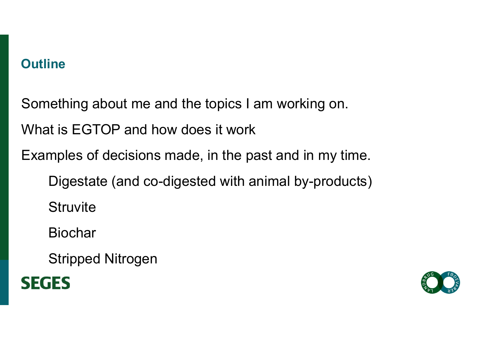# **Outline**

Something about me and the topics I am working on.

What is EGTOP and how does it work

Examples of decisions made, in the past and in my time.

Digestate (and co-digested with animal by-products)

**Struvite** 

Biochar

Stripped Nitrogen



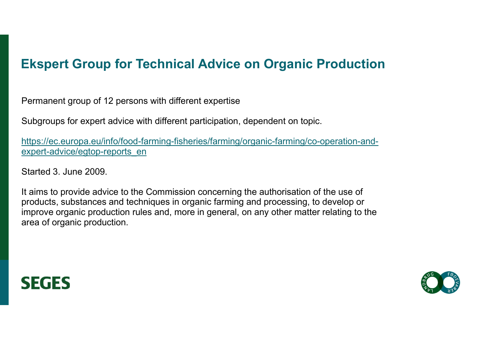# Ekspert Group for Technical Advice on Organic Production<br>Permanent group of 12 persons with different expertise

Permanent group of 12 persons with different expertise

Subgroups for expert advice with different participation, dependent on topic.

https://ec.europa.eu/info/food-farming-fisheries/farming/organic-farming/co-operation-andexpert-advice/egtop-reports\_en

Started 3. June 2009.

**Ekspert Group for Technical Advice on Organic Production**<br>Permanent group of 12 persons with different expertise<br>Subgroups for expert advice with different participation, dependent on topic.<br>https://ec.europa.eu/info/food products, substances and techniques in organic farming and processing, to develop or improve organic production rules and, more in general, on any other matter relating to the area of organic production.



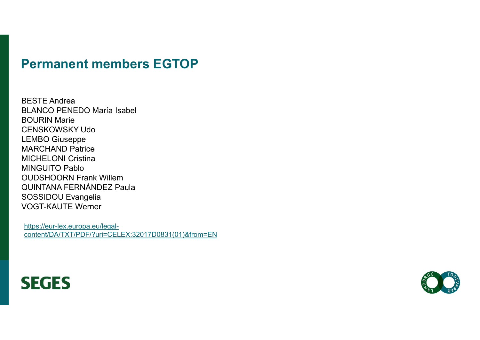#### Permanent members EGTOP

BESTE Andrea BLANCO PENEDO María Isabel BOURIN Marie CENSKOWSKY Udo LEMBO Giuseppe MARCHAND Patrice MICHELONI Cristina MINGUITO Pablo OUDSHOORN Frank Willem QUINTANA FERNÁNDEZ Paula SOSSIDOU Evangelia VOGT-KAUTE Werner

https://eur-lex.europa.eu/legalcontent/DA/TXT/PDF/?uri=CELEX:32017D0831(01)&from=EN



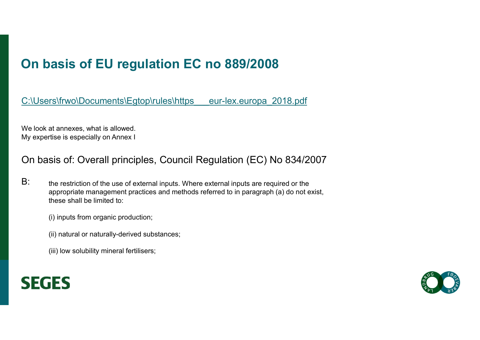# On basis of EU regulation EC no 889/2008

C:\Users\frwo\Documents\Egtop\rules\https eur-lex.europa\_2018.pdf

We look at annexes, what is allowed. My expertise is especially on Annex I

#### On basis of: Overall principles, Council Regulation (EC) No 834/2007

B: the restriction of the use of external inputs. Where external inputs are required or the appropriate management practices and methods referred to in paragraph (a) do not exist, these shall be limited to:

(i) inputs from organic production;

(ii) natural or naturally-derived substances;

(iii) low solubility mineral fertilisers;



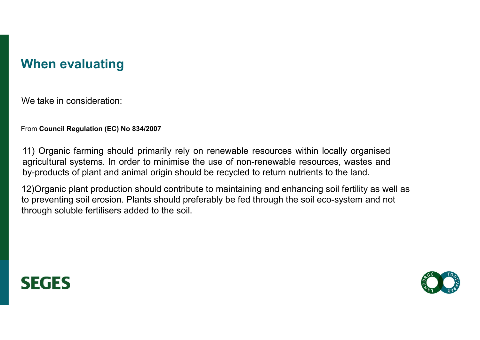### When evaluating

We take in consideration:

From Council Regulation (EC) No 834/2007

When evaluating<br><sup>From</sup> Council Regulation (EC) No 834/2007<br>11) Organic farming should primarily rely on renewable resources within locally organised<br>agricultural systems. In order to minimise the use of non-renewable resou When evaluating<br>
From Council Regulation (EC) No 834/2007<br>
11) Organic farming should primarily rely on renewable resources within locally organised<br>
agricultural systems. In order to minimise the use of non-renewable reso When evaluating<br><sup>From</sup> Council Regulation (EC) No 834/2007<br>1) Organic farming should primarily rely on renewable resources within locally organised<br>agricultural systems. In order to minimise the use of non-renewable resour **VYNEM EVAILLATING**<br>We take in consideration:<br>From Council Regulation (EC) No 834/2007<br>11) Organic farming should primarily rely on renewable resources with<br>agricultural systems. In order to minimise the use of non-renewa

12)Organic plant production should contribute to maintaining and enhancing soil fertility as well as to preventing soil erosion. Plants should preferably be fed through the soil eco-system and not



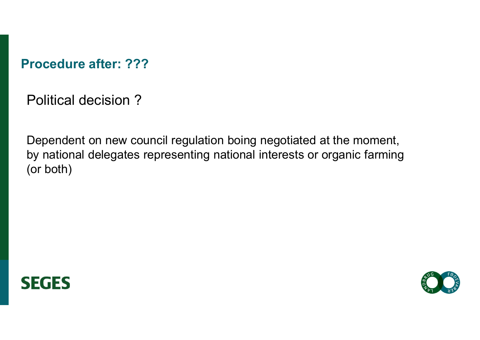Procedure after: ???

Political decision ?

Dependent on new council regulation boing negotiated at the moment, by national delegates representing national interests or organic farming (or both)



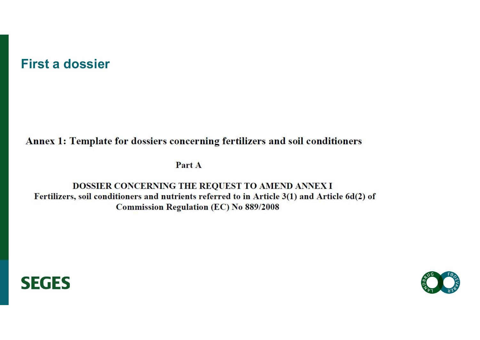#### First a dossier

Annex 1: Template for dossiers concerning fertilizers and soil conditioners

Part A

DOSSIER CONCERNING THE REQUEST TO AMEND ANNEX I Fertilizers, soil conditioners and nutrients referred to in Article 3(1) and Article 6d(2) of **Commission Regulation (EC) No 889/2008** 



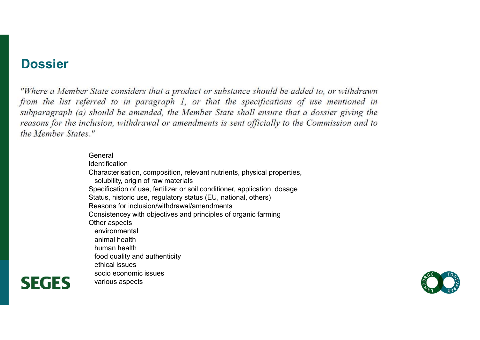#### **Dossier**

**SEGES** 

General Identification Characterisation, composition, relevant nutrients, physical properties, solubility, origin of raw materials Specification of use, fertilizer or soil conditioner, application, dosage Status, historic use, regulatory status (EU, national, others) Reasons for inclusion/withdrawal/amendments State considers that a product or substance should be added to, or withdrawn<br>prred to in paragraph 1, or that the specifications of use mentioned in<br>should be amended, the Member State shall ensure that a dossier giving th Other aspects environmental animal health human health food quality and authenticity ethical issues socio economic issues various aspects

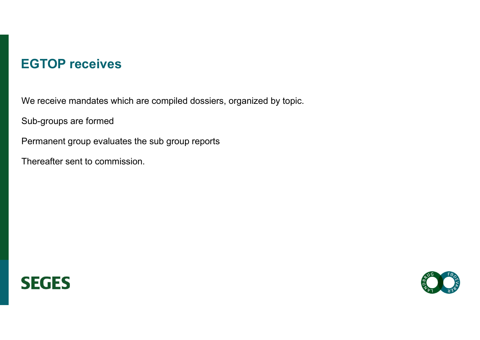#### EGTOP receives

We receive mandates which are compiled dossiers, organized by topic.

Sub-groups are formed

Permanent group evaluates the sub group reports

Thereafter sent to commission.



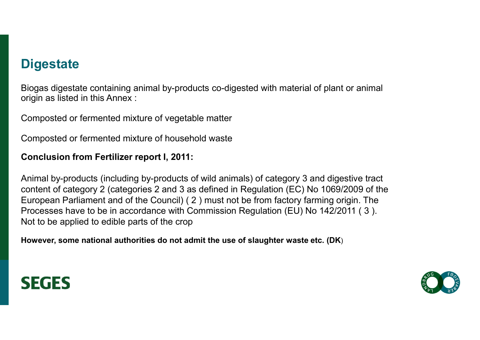### **Digestate**

Biogas digestate containing animal by-products co-digested with material of plant or animal origin as listed in this Annex :

Composted or fermented mixture of vegetable matter

Composted or fermented mixture of household waste

#### Conclusion from Fertilizer report I, 2011:

Animal by-products (including by-products of wild animals) of category 3 and digestive tract content of category 2 (categories 2 and 3 as defined in Regulation (EC) No 1069/2009 of the European Parliament and of the Council) ( 2 ) must not be from factory farming origin. The Processes have to be in accordance with Commission Regulation (EU) No 142/2011 ( 3 ). Not to be applied to edible parts of the crop

However, some national authorities do not admit the use of slaughter waste etc. (DK)



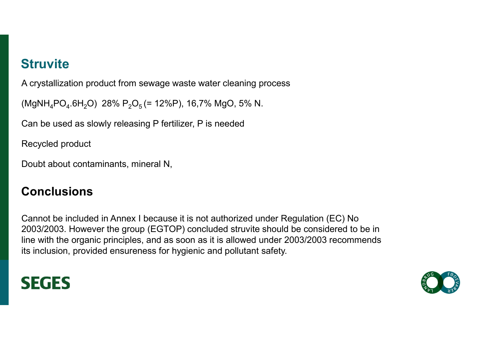# **Struvite**

A crystallization product from sewage waste water cleaning process

(MgNH<sub>4</sub>PO<sub>4</sub>.6H<sub>2</sub>O) 28% P<sub>2</sub>O<sub>5</sub> (= 12%P), 16,7% MgO, 5% N.

Can be used as slowly releasing P fertilizer, P is needed

Recycled product

Doubt about contaminants, mineral N,

#### **Conclusions**

Cannot be included in Annex I because it is not authorized under Regulation (EC) No 2003/2003. However the group (EGTOP) concluded struvite should be considered to be in line with the organic principles, and as soon as it is allowed under 2003/2003 recommends (ivigin  $T_qPU_q$ , ori $_2U$ ) 28%  $r_2U_5$  (= 12%P), 16,7% wigO, 5% N.<br>Can be used as slowly releasing P fertilizer, P is needed<br>Recycled product<br>Doubt about contaminants, mineral N,<br>Conclusions<br>Cannot be included in Annex I



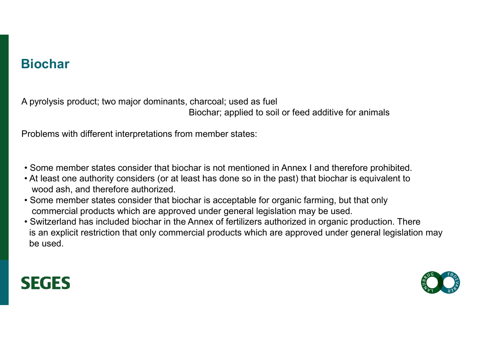# Biochar

A pyrolysis product; two major dominants, charcoal; used as fuel Biochar; applied to soil or feed additive for animals

Problems with different interpretations from member states:

- Some member states consider that biochar is not mentioned in Annex I and therefore prohibited.
- At least one authority considers (or at least has done so in the past) that biochar is equivalent to wood ash, and therefore authorized.
- Some member states consider that biochar is acceptable for organic farming, but that only commercial products which are approved under general legislation may be used.
- Switzerland has included biochar in the Annex of fertilizers authorized in organic production. There is an explicit restriction that only commercial products which are approved under general legislation may be used.



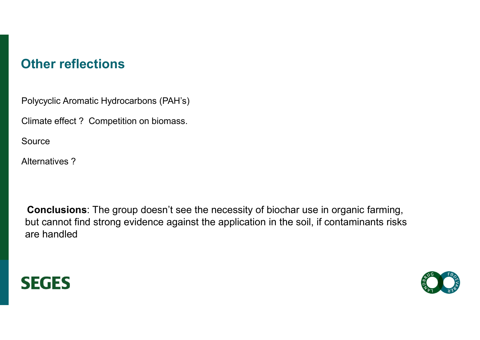## Other reflections

Polycyclic Aromatic Hydrocarbons (PAH's)

Climate effect ? Competition on biomass.

Source

Alternatives ?

Conclusions: The group doesn't see the necessity of biochar use in organic farming, but cannot find strong evidence against the application in the soil, if contaminants risks are handled